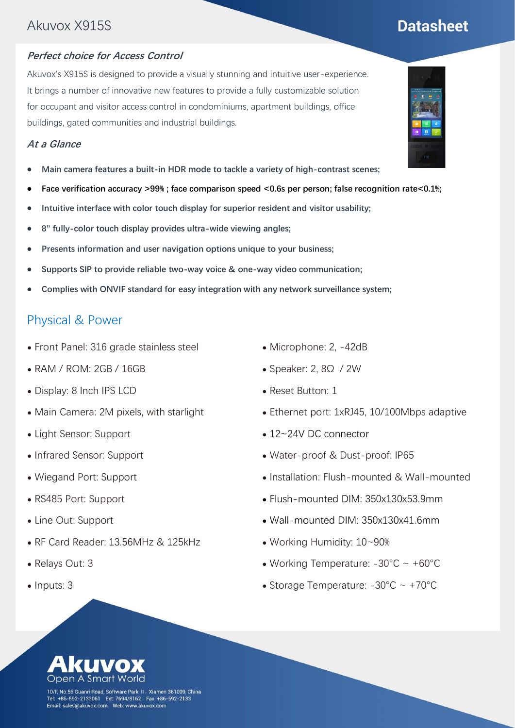## Akuvox X915S

#### **Perfect choice for Access Control**

Akuvox's X915S is designed to provide a visually stunning and intuitive user-experience. It brings a number of innovative new features to provide a fully customizable solution for occupant and visitor access control in condominiums, apartment buildings, office buildings, gated communities and industrial buildings.

#### **At a Glance**

- ⚫ **Main camera features a built-in HDR mode to tackle a variety of high-contrast scenes;**
- **Face verification accuracy >99%; face comparison speed <0.6s per person; false recognition rate<0.1%;**
- ⚫ **Intuitive interface with color touch display for superior resident and visitor usability;**
- ⚫ **8" fully-color touch display provides ultra-wide viewing angles;**
- ⚫ **Presents information and user navigation options unique to your business;**
- ⚫ **Supports SIP to provide reliable two-way voice & one-way video communication;**
- ⚫ **Complies with ONVIF standard for easy integration with any network surveillance system;**

#### Physical & Power

- ⚫ Front Panel: 316 grade stainless steel
- ⚫ RAM / ROM: 2GB / 16GB
- ⚫ Display: 8 Inch IPS LCD
- ⚫ Main Camera: 2M pixels, with starlight
- ⚫ Light Sensor: Support
- ⚫ Infrared Sensor: Support
- ⚫ Wiegand Port: Support
- ⚫ RS485 Port: Support
- ⚫ Line Out: Support
- ⚫ RF Card Reader: 13.56MHz & 125kHz
- ⚫ Relays Out: 3
- Inputs: 3
- ⚫ Microphone: 2, -42dB
- Speaker: 2, 8Ω / 2W
- ⚫ Reset Button: 1
- Ethernet port: 1xRJ45, 10/100Mbps adaptive
- ⚫ 12~24V DC connector
- ⚫ Water-proof & Dust-proof: IP65
- ⚫ Installation: Flush-mounted & Wall-mounted
- ⚫ Flush-mounted DIM: 350x130x53.9mm
- ⚫ Wall-mounted DIM: 350x130x41.6mm
- ⚫ Working Humidity: 10~90%
- Working Temperature:  $-30^{\circ}$ C ~  $+60^{\circ}$ C
- ⚫ Storage Temperature: -30°C ~ +70°C



10/F, No.56 Guanri Road, Software Park II,Xiamen 361009, China Tel: +86-592-2133061 Ext: 7694/8162 Fax: +86-592-2133<br>Email: sales@akuvox.com Web: www.akuvox.com



# **Datasheet**